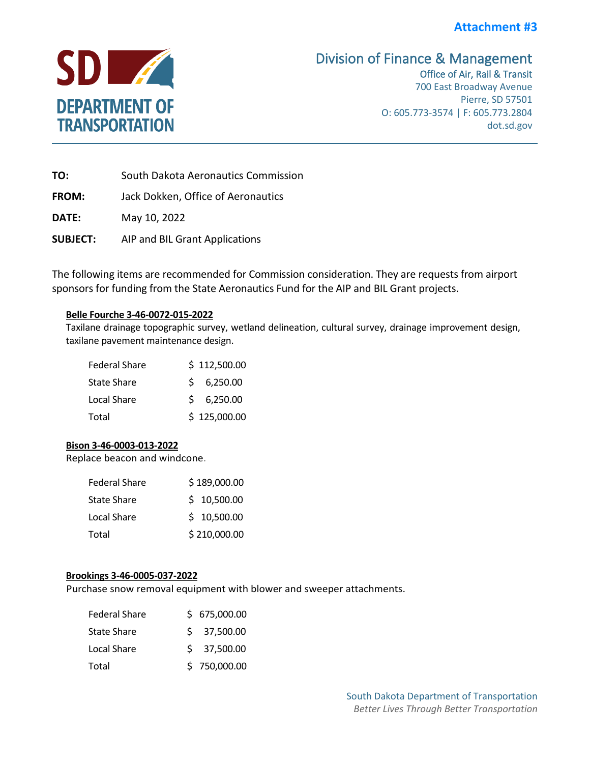# **Attachment #3**



# Division of Finance & Management<br>Office of Air, Rail & Transit

700 East Broadway Avenue Pierre, SD 57501 O: 605.773-3574 | F: 605.773.2804 dot.sd.gov

**TO:** South Dakota Aeronautics Commission

**FROM:** Jack Dokken, Office of Aeronautics

**DATE:** May 10, 2022

**SUBJECT:** AIP and BIL Grant Applications

The following items are recommended for Commission consideration. They are requests from airport sponsors for funding from the State Aeronautics Fund for the AIP and BIL Grant projects.

# **Belle Fourche 3-46-0072-015-2022**

Taxilane drainage topographic survey, wetland delineation, cultural survey, drainage improvement design, taxilane pavement maintenance design.

| <b>Federal Share</b> | \$112,500.00 |
|----------------------|--------------|
| <b>State Share</b>   | \$6,250.00   |
| Local Share          | \$6,250.00   |
| Total                | \$125,000.00 |

# **Bison 3-46-0003-013-2022**

Replace beacon and windcone.

| <b>Federal Share</b> | \$189,000.00 |
|----------------------|--------------|
| <b>State Share</b>   | \$10,500.00  |
| Local Share          | \$10,500.00  |
| Total                | \$210,000.00 |
|                      |              |

# **Brookings 3-46-0005-037-2022**

Purchase snow removal equipment with blower and sweeper attachments.

| <b>Federal Share</b> | \$675,000.00 |
|----------------------|--------------|
| <b>State Share</b>   | \$37,500.00  |
| Local Share          | \$37,500.00  |
| Total                | \$750,000.00 |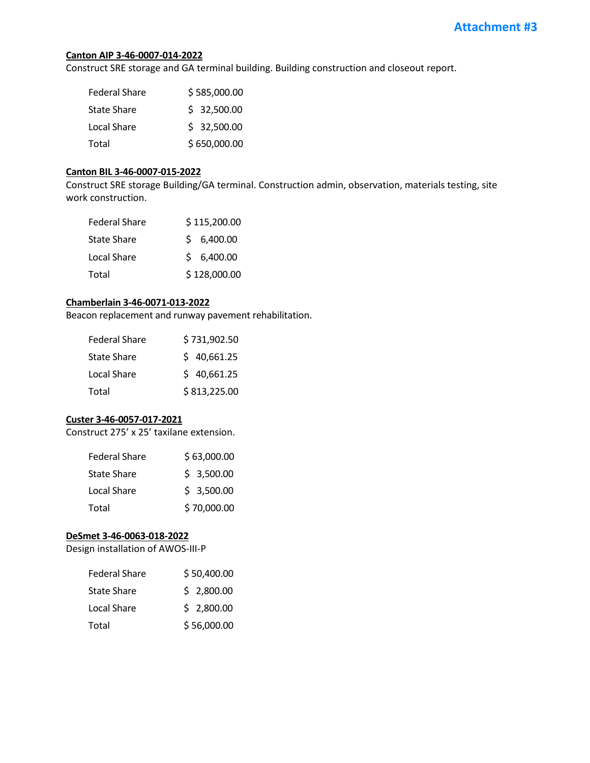#### **Canton AIP 3-46-0007-014-2022**

Construct SRE storage and GA terminal building. Building construction and closeout report.

| <b>Federal Share</b> | \$585,000.00 |
|----------------------|--------------|
| <b>State Share</b>   | \$32,500.00  |
| Local Share          | \$32,500.00  |
| Total                | \$650,000.00 |

### **Canton BIL 3-46-0007-015-2022**

Construct SRE storage Building/GA terminal. Construction admin, observation, materials testing, site work construction.

| <b>Federal Share</b> | \$115,200.00 |
|----------------------|--------------|
| <b>State Share</b>   | \$6,400.00   |
| Local Share          | \$6,400.00   |
| Total                | \$128,000.00 |

# **Chamberlain 3-46-0071-013-2022**

Beacon replacement and runway pavement rehabilitation.

| <b>Federal Share</b> | \$731,902.50 |
|----------------------|--------------|
| <b>State Share</b>   | \$40,661.25  |
| Local Share          | \$40,661.25  |
| Total                | \$813,225.00 |

#### **Custer 3-46-0057-017-2021**

Construct 275' x 25' taxilane extension.

| <b>Federal Share</b> | \$63,000.00 |
|----------------------|-------------|
| <b>State Share</b>   | \$3,500.00  |
| Local Share          | \$3,500.00  |
| Total                | \$70,000.00 |

### **DeSmet 3-46-0063-018-2022**

Design installation of AWOS-III-P

| <b>Federal Share</b> | \$50,400.00 |
|----------------------|-------------|
| <b>State Share</b>   | \$2,800.00  |
| Local Share          | \$2,800.00  |
| Total                | \$56,000.00 |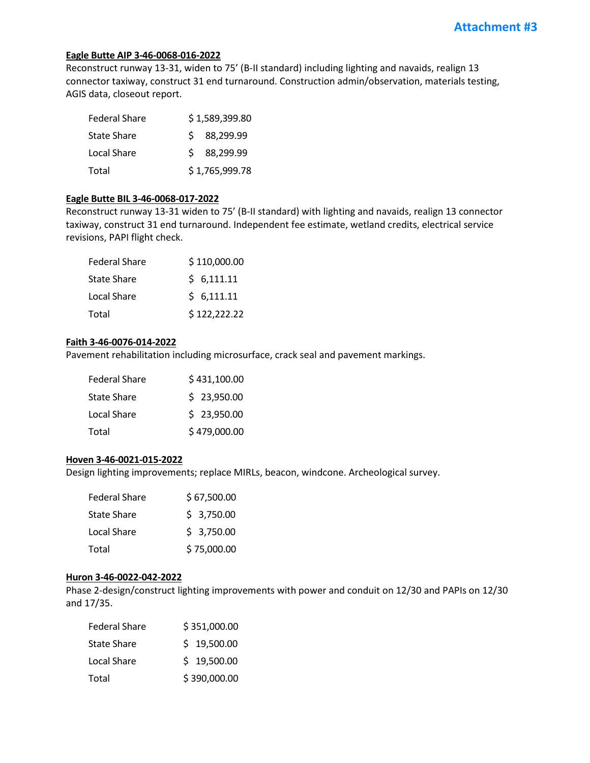# **Eagle Butte AIP 3-46-0068-016-2022**

Reconstruct runway 13-31, widen to 75' (B-II standard) including lighting and navaids, realign 13 connector taxiway, construct 31 end turnaround. Construction admin/observation, materials testing, AGIS data, closeout report.

| <b>Federal Share</b> | \$1,589,399.80 |
|----------------------|----------------|
| <b>State Share</b>   | \$88,299.99    |
| Local Share          | \$ 88,299.99   |
| Total                | \$1,765,999.78 |

#### **Eagle Butte BIL 3-46-0068-017-2022**

Reconstruct runway 13-31 widen to 75' (B-II standard) with lighting and navaids, realign 13 connector taxiway, construct 31 end turnaround. Independent fee estimate, wetland credits, electrical service revisions, PAPI flight check.

| <b>Federal Share</b> | \$110,000.00 |
|----------------------|--------------|
| <b>State Share</b>   | \$6,111.11   |
| Local Share          | \$6,111.11   |
| Total                | \$122,222.22 |

# **Faith 3-46-0076-014-2022**

Pavement rehabilitation including microsurface, crack seal and pavement markings.

| <b>Federal Share</b> | \$431,100.00 |
|----------------------|--------------|
| <b>State Share</b>   | \$23,950.00  |
| Local Share          | \$23,950.00  |
| Total                | \$479,000.00 |

#### **Hoven 3-46-0021-015-2022**

Design lighting improvements; replace MIRLs, beacon, windcone. Archeological survey.

| <b>Federal Share</b> | \$67,500.00 |
|----------------------|-------------|
| <b>State Share</b>   | \$3,750.00  |
| Local Share          | \$3,750.00  |
| Total                | \$75,000.00 |

#### **Huron 3-46-0022-042-2022**

Phase 2-design/construct lighting improvements with power and conduit on 12/30 and PAPIs on 12/30 and 17/35.

| <b>Federal Share</b> | \$351,000.00 |
|----------------------|--------------|
| <b>State Share</b>   | \$19,500.00  |
| Local Share          | \$19,500.00  |
| Total                | \$390,000.00 |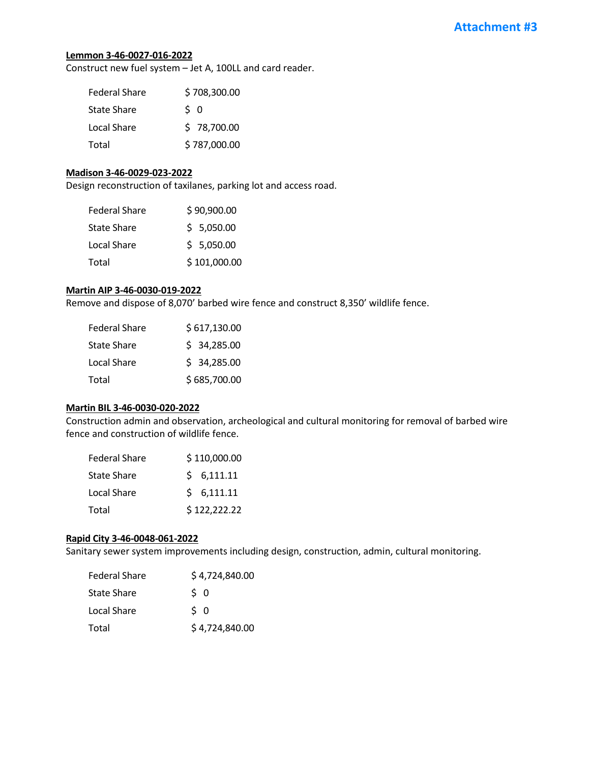#### **Lemmon 3-46-0027-016-2022**

Construct new fuel system – Jet A, 100LL and card reader.

| <b>Federal Share</b> | \$708,300.00   |
|----------------------|----------------|
| <b>State Share</b>   | S <sub>0</sub> |
| Local Share          | \$78,700.00    |
| Total                | \$787,000.00   |

#### **Madison 3-46-0029-023-2022**

Design reconstruction of taxilanes, parking lot and access road.

| <b>Federal Share</b> | \$90,900.00  |
|----------------------|--------------|
| <b>State Share</b>   | \$5,050.00   |
| Local Share          | \$5,050.00   |
| Total                | \$101,000.00 |

#### **Martin AIP 3-46-0030-019-2022**

Remove and dispose of 8,070' barbed wire fence and construct 8,350' wildlife fence.

| <b>Federal Share</b> | \$617,130.00 |
|----------------------|--------------|
| <b>State Share</b>   | \$34,285.00  |
| Local Share          | \$34,285.00  |
| Total                | \$685,700.00 |

# **Martin BIL 3-46-0030-020-2022**

Construction admin and observation, archeological and cultural monitoring for removal of barbed wire fence and construction of wildlife fence.

| <b>Federal Share</b> | \$110,000.00 |
|----------------------|--------------|
| <b>State Share</b>   | \$6,111.11   |
| Local Share          | \$6,111.11   |
| Total                | \$122,222.22 |

#### **Rapid City 3-46-0048-061-2022**

Sanitary sewer system improvements including design, construction, admin, cultural monitoring.

| <b>Federal Share</b> | \$4,724,840.00 |
|----------------------|----------------|
| <b>State Share</b>   | S 0            |
| Local Share          | \$ 0           |
| Total                | \$4,724,840.00 |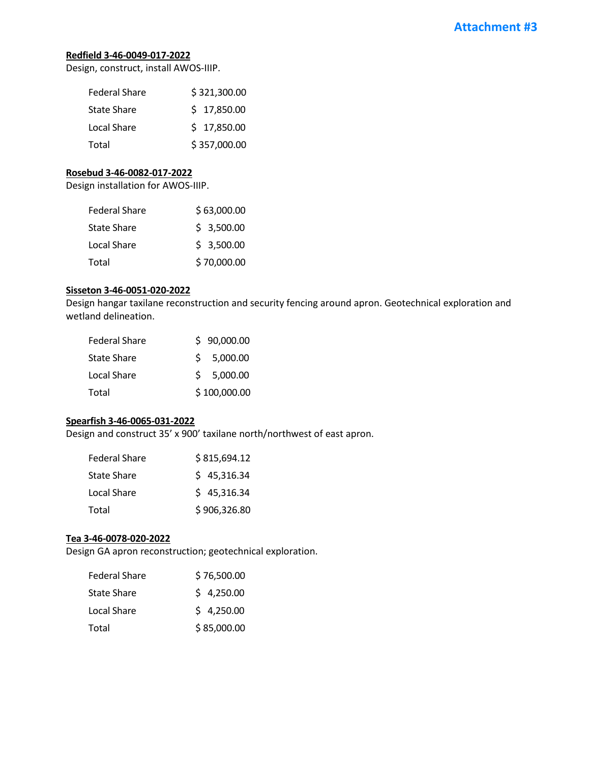# **Redfield 3-46-0049-017-2022**

Design, construct, install AWOS-IIIP.

| <b>Federal Share</b> | \$321,300.00 |
|----------------------|--------------|
| <b>State Share</b>   | \$17,850.00  |
| Local Share          | \$17,850.00  |
| Total                | \$357,000.00 |

### **Rosebud 3-46-0082-017-2022**

Design installation for AWOS-IIIP.

| <b>Federal Share</b> | \$63,000.00 |
|----------------------|-------------|
| <b>State Share</b>   | \$3,500.00  |
| Local Share          | \$3,500.00  |
| Total                | \$70,000.00 |

#### **Sisseton 3-46-0051-020-2022**

Design hangar taxilane reconstruction and security fencing around apron. Geotechnical exploration and wetland delineation.

| <b>Federal Share</b> | \$90,000.00  |
|----------------------|--------------|
| <b>State Share</b>   | \$5,000.00   |
| Local Share          | \$5,000.00   |
| Total                | \$100,000.00 |

# **Spearfish 3-46-0065-031-2022**

Design and construct 35' x 900' taxilane north/northwest of east apron.

| <b>Federal Share</b> | \$815,694.12 |
|----------------------|--------------|
| <b>State Share</b>   | \$45,316.34  |
| Local Share          | \$45,316.34  |
| Total                | \$906,326.80 |

### **Tea 3-46-0078-020-2022**

Design GA apron reconstruction; geotechnical exploration.

| <b>Federal Share</b> | \$76,500.00 |
|----------------------|-------------|
| <b>State Share</b>   | \$4,250.00  |
| Local Share          | \$4,250.00  |
| Total                | \$85,000.00 |